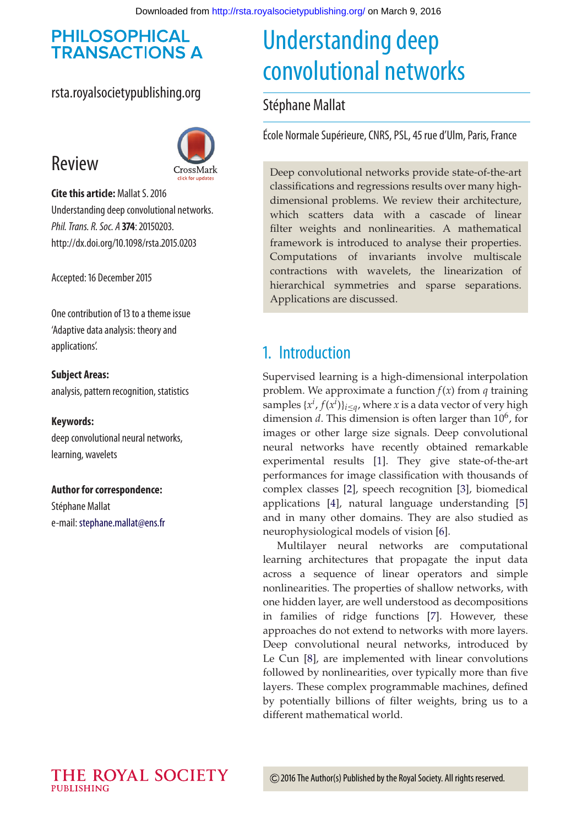#### **PHILOSOPHICAL TRANSACTIONS A**

#### rsta.royalsocietypublishing.org



# Review

**Cite this article:** Mallat S. 2016 Understanding deep convolutional networks. *Phil. Trans. R. Soc. A* **374**: 20150203. http://dx.doi.org/10.1098/rsta.2015.0203

Accepted: 16 December 2015

One contribution of 13 to a theme issue 'Adaptive data analysis: theory and applications'.

#### **Subject Areas:**

analysis, pattern recognition, statistics

#### **Keywords:**

deep convolutional neural networks, learning, wavelets

#### **Author for correspondence:**

Stéphane Mallat e-mail: [stephane.mallat@ens.fr](mailto:stephane.mallat@ens.fr)

# Understanding deep convolutional networks

#### Stéphane Mallat

École Normale Supérieure, CNRS, PSL, 45 rue d'Ulm, Paris, France

Deep convolutional networks provide state-of-the-art classifications and regressions results over many highdimensional problems. We review their architecture, which scatters data with a cascade of linear filter weights and nonlinearities. A mathematical framework is introduced to analyse their properties. Computations of invariants involve multiscale contractions with wavelets, the linearization of hierarchical symmetries and sparse separations. Applications are discussed.

## 1. Introduction

Supervised learning is a high-dimensional interpolation problem. We approximate a function *f*(*x*) from *q* training samples  $\{x^i, f(x^i)\}_{i \leq q}$ , where *x* is a data vector of very high dimension *d*. This dimension is often larger than  $10^6$ , for images or other large size signals. Deep convolutional neural networks have recently obtained remarkable experimental results [\[1\]](#page-14-0). They give state-of-the-art performances for image classification with thousands of complex classes [\[2\]](#page-14-1), speech recognition [\[3\]](#page-14-2), biomedical applications [\[4\]](#page-14-3), natural language understanding [\[5\]](#page-14-4) and in many other domains. They are also studied as neurophysiological models of vision [\[6\]](#page-14-5).

Multilayer neural networks are computational learning architectures that propagate the input data across a sequence of linear operators and simple nonlinearities. The properties of shallow networks, with one hidden layer, are well understood as decompositions in families of ridge functions [\[7\]](#page-14-6). However, these approaches do not extend to networks with more layers. Deep convolutional neural networks, introduced by Le Cun [\[8\]](#page-14-7), are implemented with linear convolutions followed by nonlinearities, over typically more than five layers. These complex programmable machines, defined by potentially billions of filter weights, bring us to a different mathematical world.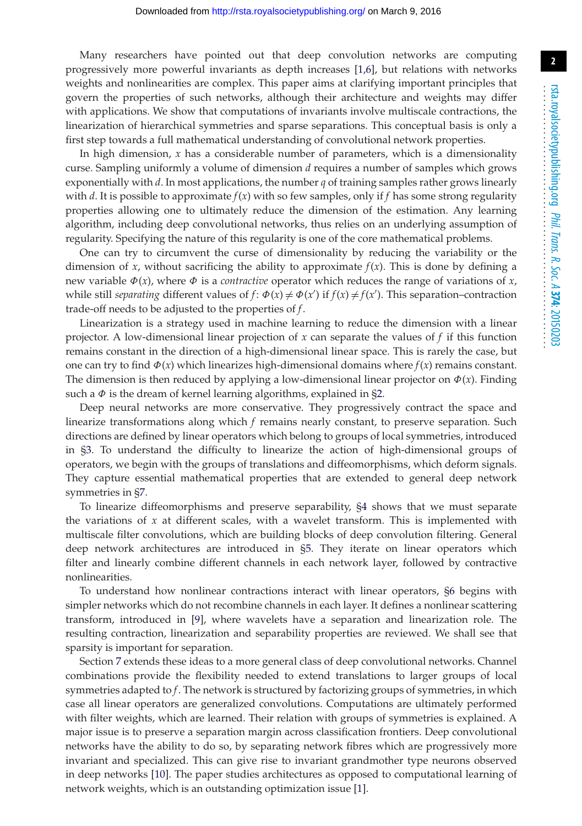Many researchers have pointed out that deep convolution networks are computing progressively more powerful invariants as depth increases [\[1](#page-14-0)[,6\]](#page-14-5), but relations with networks weights and nonlinearities are complex. This paper aims at clarifying important principles that govern the properties of such networks, although their architecture and weights may differ with applications. We show that computations of invariants involve multiscale contractions, the linearization of hierarchical symmetries and sparse separations. This conceptual basis is only a first step towards a full mathematical understanding of convolutional network properties.

In high dimension,  $x$  has a considerable number of parameters, which is a dimensionality curse. Sampling uniformly a volume of dimension *d* requires a number of samples which grows exponentially with *d*. In most applications, the number *q* of training samples rather grows linearly with *d*. It is possible to approximate *f*(*x*) with so few samples, only if *f* has some strong regularity properties allowing one to ultimately reduce the dimension of the estimation. Any learning algorithm, including deep convolutional networks, thus relies on an underlying assumption of regularity. Specifying the nature of this regularity is one of the core mathematical problems.

One can try to circumvent the curse of dimensionality by reducing the variability or the dimension of *x*, without sacrificing the ability to approximate  $f(x)$ . This is done by defining a new variable  $\Phi(x)$ , where  $\Phi$  is a *contractive* operator which reduces the range of variations of *x*, while still *separating* different values of  $f: \Phi(x) \neq \Phi(x')$  if  $f(x) \neq f(x')$ . This separation–contraction trade-off needs to be adjusted to the properties of *f*.

Linearization is a strategy used in machine learning to reduce the dimension with a linear projector. A low-dimensional linear projection of *x* can separate the values of *f* if this function remains constant in the direction of a high-dimensional linear space. This is rarely the case, but one can try to find  $\Phi(x)$  which linearizes high-dimensional domains where  $f(x)$  remains constant. The dimension is then reduced by applying a low-dimensional linear projector on  $\Phi(x)$ . Finding such a  $\Phi$  is the dream of kernel learning algorithms, explained in [§2.](#page-2-0)

Deep neural networks are more conservative. They progressively contract the space and linearize transformations along which *f* remains nearly constant, to preserve separation. Such directions are defined by linear operators which belong to groups of local symmetries, introduced in [§3.](#page-2-1) To understand the difficulty to linearize the action of high-dimensional groups of operators, we begin with the groups of translations and diffeomorphisms, which deform signals. They capture essential mathematical properties that are extended to general deep network symmetries in [§7.](#page-10-0)

To linearize diffeomorphisms and preserve separability, [§4](#page-4-0) shows that we must separate the variations of  $x$  at different scales, with a wavelet transform. This is implemented with multiscale filter convolutions, which are building blocks of deep convolution filtering. General deep network architectures are introduced in [§5.](#page-6-0) They iterate on linear operators which filter and linearly combine different channels in each network layer, followed by contractive nonlinearities.

To understand how nonlinear contractions interact with linear operators, [§6](#page-7-0) begins with simpler networks which do not recombine channels in each layer. It defines a nonlinear scattering transform, introduced in [\[9\]](#page-14-8), where wavelets have a separation and linearization role. The resulting contraction, linearization and separability properties are reviewed. We shall see that sparsity is important for separation.

Section [7](#page-10-0) extends these ideas to a more general class of deep convolutional networks. Channel combinations provide the flexibility needed to extend translations to larger groups of local symmetries adapted to *f*. The network is structured by factorizing groups of symmetries, in which case all linear operators are generalized convolutions. Computations are ultimately performed with filter weights, which are learned. Their relation with groups of symmetries is explained. A major issue is to preserve a separation margin across classification frontiers. Deep convolutional networks have the ability to do so, by separating network fibres which are progressively more invariant and specialized. This can give rise to invariant grandmother type neurons observed in deep networks [\[10\]](#page-14-9). The paper studies architectures as opposed to computational learning of network weights, which is an outstanding optimization issue [\[1\]](#page-14-0).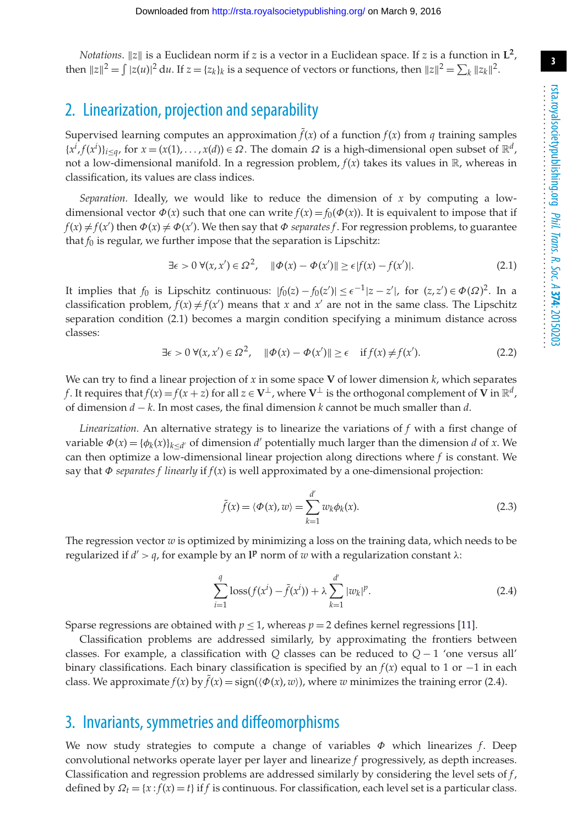*Notations*.  $||z||$  is a Euclidean norm if *z* is a vector in a Euclidean space. If *z* is a function in  $L^2$ , then  $||z||^2 = \int |z(u)|^2 du$ . If  $z = \{z_k\}_k$  is a sequence of vectors or functions, then  $||z||^2 = \sum_k ||z_k||^2$ .

## <span id="page-2-0"></span>2. Linearization, projection and separability

Supervised learning computes an approximation  $\tilde{f}(x)$  of a function  $f(x)$  from  $q$  training samples  ${x^{i}, f(x^{i})}_{i \leq q}$ , for  $x = (x(1), \ldots, x(d)) \in \Omega$ . The domain  $\Omega$  is a high-dimensional open subset of  $\mathbb{R}^{d}$ , not a low-dimensional manifold. In a regression problem,  $f(x)$  takes its values in  $\mathbb{R}$ , whereas in classification, its values are class indices.

*Separation.* Ideally, we would like to reduce the dimension of  $x$  by computing a lowdimensional vector  $\Phi(x)$  such that one can write  $f(x) = f_0(\Phi(x))$ . It is equivalent to impose that if  $f(x) \neq f(x')$  then  $\Phi(x) \neq \Phi(x')$ . We then say that  $\Phi$  *separates* f. For regression problems, to guarantee that  $f_0$  is regular, we further impose that the separation is Lipschitz:

$$
\exists \epsilon > 0 \; \forall (x, x') \in \Omega^2, \quad \|\Phi(x) - \Phi(x')\| \ge \epsilon |f(x) - f(x')|.
$$

It implies that  $f_0$  is Lipschitz continuous:  $|f_0(z) - f_0(z')| \le \epsilon^{-1}|z - z'|$ , for  $(z, z') \in \Phi(\Omega)^2$ . In a classification problem,  $f(x) \neq f(x')$  means that *x* and *x'* are not in the same class. The Lipschitz separation condition (2.1) becomes a margin condition specifying a minimum distance across classes:

$$
\exists \epsilon > 0 \; \forall (x, x') \in \Omega^2, \quad \|\Phi(x) - \Phi(x')\| \ge \epsilon \quad \text{if } f(x) \ne f(x'). \tag{2.2}
$$

We can try to find a linear projection of  $x$  in some space **V** of lower dimension  $k$ , which separates *f*. It requires that  $f(x) = f(x + z)$  for all  $z \in V^{\perp}$ , where  $V^{\perp}$  is the orthogonal complement of V in  $\mathbb{R}^{d}$ , of dimension *d* − *k*. In most cases, the final dimension *k* cannot be much smaller than *d*.

*Linearization.* An alternative strategy is to linearize the variations of *f* with a first change of variable  $\Phi(x) = {\phi_k(x)}_{k \le d'}$  of dimension *d'* potentially much larger than the dimension *d* of *x*. We can then optimize a low-dimensional linear projection along directions where *f* is constant. We say that Φ *separates f linearly* if *f*(*x*) is well approximated by a one-dimensional projection:

$$
\tilde{f}(x) = \langle \Phi(x), w \rangle = \sum_{k=1}^{d'} w_k \phi_k(x).
$$
\n(2.3)

The regression vector *w* is optimized by minimizing a loss on the training data, which needs to be regularized if  $d' > q$ , for example by an I<sup>p</sup> norm of w with a regularization constant  $\lambda$ :

$$
\sum_{i=1}^{q} \text{loss}(f(x^{i}) - \tilde{f}(x^{i})) + \lambda \sum_{k=1}^{d'} |w_{k}|^{p}.
$$
 (2.4)

Sparse regressions are obtained with  $p \le 1$ , whereas  $p = 2$  defines kernel regressions [\[11\]](#page-15-0).

Classification problems are addressed similarly, by approximating the frontiers between classes. For example, a classification with *Q* classes can be reduced to  $Q - 1$  'one versus all' binary classifications. Each binary classification is specified by an *f*(*x*) equal to 1 or −1 in each class. We approximate  $f(x)$  by  $\tilde{f}(x) = \text{sign}(\langle \Phi(x), w \rangle)$ , where *w* minimizes the training error (2.4).

#### <span id="page-2-1"></span>3. Invariants, symmetries and diffeomorphisms

We now study strategies to compute a change of variables  $\Phi$  which linearizes f. Deep convolutional networks operate layer per layer and linearize *f* progressively, as depth increases. Classification and regression problems are addressed similarly by considering the level sets of *f*, defined by  $\Omega_t = \{x : f(x) = t\}$  if *f* is continuous. For classification, each level set is a particular class.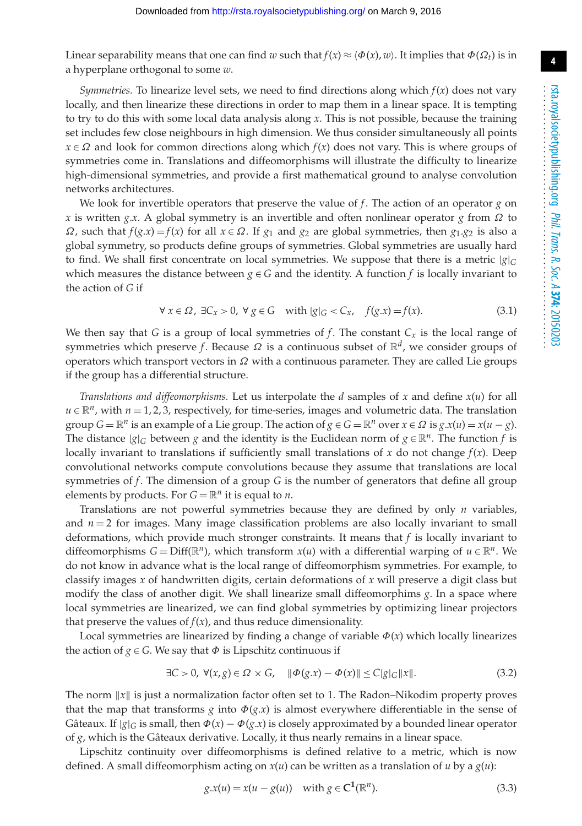Linear separability means that one can find *w* such that  $f(x) \approx \langle \Phi(x), w \rangle$ . It implies that  $\Phi(\Omega_t)$  is in a hyperplane orthogonal to some *w*.

*Symmetries.* To linearize level sets, we need to find directions along which  $f(x)$  does not vary locally, and then linearize these directions in order to map them in a linear space. It is tempting to try to do this with some local data analysis along *x*. This is not possible, because the training set includes few close neighbours in high dimension. We thus consider simultaneously all points  $x \in \Omega$  and look for common directions along which  $f(x)$  does not vary. This is where groups of symmetries come in. Translations and diffeomorphisms will illustrate the difficulty to linearize high-dimensional symmetries, and provide a first mathematical ground to analyse convolution networks architectures.

We look for invertible operators that preserve the value of *f*. The action of an operator *g* on *x* is written *g*.*x*. A global symmetry is an invertible and often nonlinear operator *g* from Ω to  $\Omega$ , such that  $f(g.x) = f(x)$  for all  $x \in \Omega$ . If  $g_1$  and  $g_2$  are global symmetries, then  $g_1.g_2$  is also a global symmetry, so products define groups of symmetries. Global symmetries are usually hard to find. We shall first concentrate on local symmetries. We suppose that there is a metric |*g*|*<sup>G</sup>* which measures the distance between  $g \in G$  and the identity. A function f is locally invariant to the action of *G* if

$$
\forall x \in \Omega, \exists C_x > 0, \forall g \in G \quad \text{with } |g|_G < C_x, \quad f(g.x) = f(x). \tag{3.1}
$$

We then say that *G* is a group of local symmetries of *f*. The constant  $C_x$  is the local range of symmetries which preserve *f*. Because  $\Omega$  is a continuous subset of  $\mathbb{R}^d$ , we consider groups of operators which transport vectors in  $\Omega$  with a continuous parameter. They are called Lie groups if the group has a differential structure.

*Translations and diffeomorphisms.* Let us interpolate the *d* samples of *x* and define *x*(*u*) for all  $u \in \mathbb{R}^n$ , with  $n = 1, 2, 3$ , respectively, for time-series, images and volumetric data. The translation group  $G = \mathbb{R}^n$  is an example of a Lie group. The action of  $g \in G = \mathbb{R}^n$  over  $x \in \Omega$  is  $g.x(u) = x(u - g)$ . The distance  $|g|_G$  between *g* and the identity is the Euclidean norm of  $g \in \mathbb{R}^n$ . The function *f* is locally invariant to translations if sufficiently small translations of  $x$  do not change  $f(x)$ . Deep convolutional networks compute convolutions because they assume that translations are local symmetries of *f*. The dimension of a group *G* is the number of generators that define all group elements by products. For  $G = \mathbb{R}^n$  it is equal to *n*.

Translations are not powerful symmetries because they are defined by only *n* variables, and  $n = 2$  for images. Many image classification problems are also locally invariant to small deformations, which provide much stronger constraints. It means that *f* is locally invariant to diffeomorphisms  $G = Diff(\mathbb{R}^n)$ , which transform  $x(u)$  with a differential warping of  $u \in \mathbb{R}^n$ . We do not know in advance what is the local range of diffeomorphism symmetries. For example, to classify images *x* of handwritten digits, certain deformations of *x* will preserve a digit class but modify the class of another digit. We shall linearize small diffeomorphims *g*. In a space where local symmetries are linearized, we can find global symmetries by optimizing linear projectors that preserve the values of  $f(x)$ , and thus reduce dimensionality.

Local symmetries are linearized by finding a change of variable  $\Phi(x)$  which locally linearizes the action of  $g \in G$ . We say that  $\Phi$  is Lipschitz continuous if

$$
\exists C > 0, \ \forall (x, g) \in \Omega \times G, \quad \|\Phi(g.x) - \Phi(x)\| \le C|g|_G \|x\|.
$$

The norm  $||x||$  is just a normalization factor often set to 1. The Radon–Nikodim property proves that the map that transforms *g* into  $\Phi(g.x)$  is almost everywhere differentiable in the sense of Gâteaux. If  $|g|_G$  is small, then  $\Phi(x) - \Phi(g.x)$  is closely approximated by a bounded linear operator of *g*, which is the Gâteaux derivative. Locally, it thus nearly remains in a linear space.

Lipschitz continuity over diffeomorphisms is defined relative to a metric, which is now defined. A small diffeomorphism acting on  $x(u)$  can be written as a translation of *u* by a  $g(u)$ :

$$
g.x(u) = x(u - g(u)) \quad \text{with } g \in \mathbb{C}^1(\mathbb{R}^n). \tag{3.3}
$$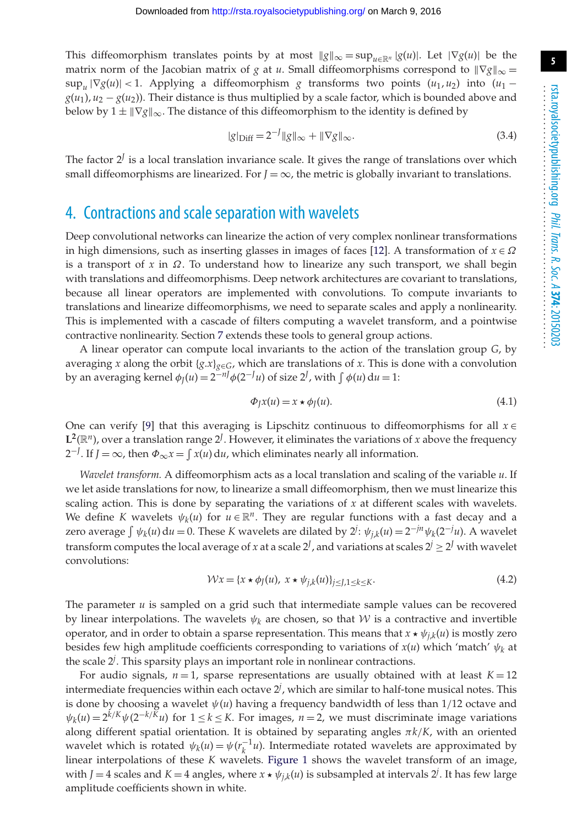This diffeomorphism translates points by at most  $\|g\|_{\infty} = \sup_{u \in \mathbb{R}^n} |g(u)|$ . Let  $|\nabla g(u)|$  be the matrix norm of the Jacobian matrix of *g* at *u*. Small diffeomorphisms correspond to  $\|\nabla g\|_{\infty} =$  $\sup_u |\nabla g(u)| < 1$ . Applying a diffeomorphism *g* transforms two points  $(u_1, u_2)$  into  $(u_1$  $g(u_1)$ ,  $u_2 - g(u_2)$ ). Their distance is thus multiplied by a scale factor, which is bounded above and below by  $1 \pm \|\nabla g\|_{\infty}$ . The distance of this diffeomorphism to the identity is defined by

$$
|g|_{\text{Diff}} = 2^{-J} \|g\|_{\infty} + \|\nabla g\|_{\infty}.
$$
 (3.4)

The factor 2*<sup>J</sup>* is a local translation invariance scale. It gives the range of translations over which small diffeomorphisms are linearized. For  $J = \infty$ , the metric is globally invariant to translations.

#### <span id="page-4-0"></span>4. Contractions and scale separation with wavelets

Deep convolutional networks can linearize the action of very complex nonlinear transformations in high dimensions, such as inserting glasses in images of faces [\[12\]](#page-15-1). A transformation of  $x \in \Omega$ is a transport of  $x$  in  $\Omega$ . To understand how to linearize any such transport, we shall begin with translations and diffeomorphisms. Deep network architectures are covariant to translations, because all linear operators are implemented with convolutions. To compute invariants to translations and linearize diffeomorphisms, we need to separate scales and apply a nonlinearity. This is implemented with a cascade of filters computing a wavelet transform, and a pointwise contractive nonlinearity. Section [7](#page-10-0) extends these tools to general group actions.

A linear operator can compute local invariants to the action of the translation group *G*, by averaging *x* along the orbit  $\{g.x\}_{g \in G}$ , which are translations of *x*. This is done with a convolution by an averaging kernel  $\phi_J(u) = 2^{-nJ} \phi(2^{-J}u)$  of size  $2^J$ , with  $\int \phi(u) du = 1$ :

$$
\Phi_J x(u) = x \star \phi_J(u). \tag{4.1}
$$

One can verify [\[9\]](#page-14-8) that this averaging is Lipschitz continuous to diffeomorphisms for all  $x \in$  $\mathbf{L}^2(\mathbb{R}^n)$ , over a translation range  $2^J$ . However, it eliminates the variations of *x* above the frequency 2<sup>-*J*</sup>. If *J* = ∞, then  $\Phi_{\infty} x = \int x(u) du$ , which eliminates nearly all information.

*Wavelet transform.* A diffeomorphism acts as a local translation and scaling of the variable *u*. If we let aside translations for now, to linearize a small diffeomorphism, then we must linearize this scaling action. This is done by separating the variations of  $x$  at different scales with wavelets. We define *K* wavelets  $\psi_k(u)$  for  $u \in \mathbb{R}^n$ . They are regular functions with a fast decay and a zero average  $\int \psi_k(u) du = 0$ . These *K* wavelets are dilated by  $2^j$ :  $\psi_{j,k}(u) = 2^{-jn} \psi_k(2^{-j}u)$ . A wavelet transform computes the local average of *x* at a scale  $2^J$ , and variations at scales  $2^j \ge 2^J$  with wavelet convolutions:

$$
\mathcal{W}x = \{x \star \phi_J(u), \ x \star \psi_{j,k}(u)\}_{j \le J, 1 \le k \le K}.\tag{4.2}
$$

The parameter *u* is sampled on a grid such that intermediate sample values can be recovered by linear interpolations. The wavelets  $\psi_k$  are chosen, so that  $\mathcal W$  is a contractive and invertible operator, and in order to obtain a sparse representation. This means that  $x \star \psi_{j,k}(u)$  is mostly zero besides few high amplitude coefficients corresponding to variations of  $x(u)$  which 'match'  $\psi_k$  at the scale 2*<sup>j</sup>* . This sparsity plays an important role in nonlinear contractions.

For audio signals,  $n = 1$ , sparse representations are usually obtained with at least  $K = 12$ intermediate frequencies within each octave 2*<sup>j</sup>* , which are similar to half-tone musical notes. This is done by choosing a wavelet  $\psi(u)$  having a frequency bandwidth of less than  $1/12$  octave and  $\psi_k(u) = 2^{k/K} \psi(2^{-k/K}u)$  for  $1 \le k \le K$ . For images,  $n = 2$ , we must discriminate image variations along different spatial orientation. It is obtained by separating angles π*k*/*K*, with an oriented wavelet which is rotated  $\psi_k(u) = \psi(r_k^{-1}u)$ . Intermediate rotated wavelets are approximated by linear interpolations of these *K* wavelets. [Figure 1](#page-5-0) shows the wavelet transform of an image, with *J* = 4 scales and *K* = 4 angles, where  $x \star \psi_{j,k}(u)$  is subsampled at intervals 2<sup>*j*</sup>. It has few large amplitude coefficients shown in white.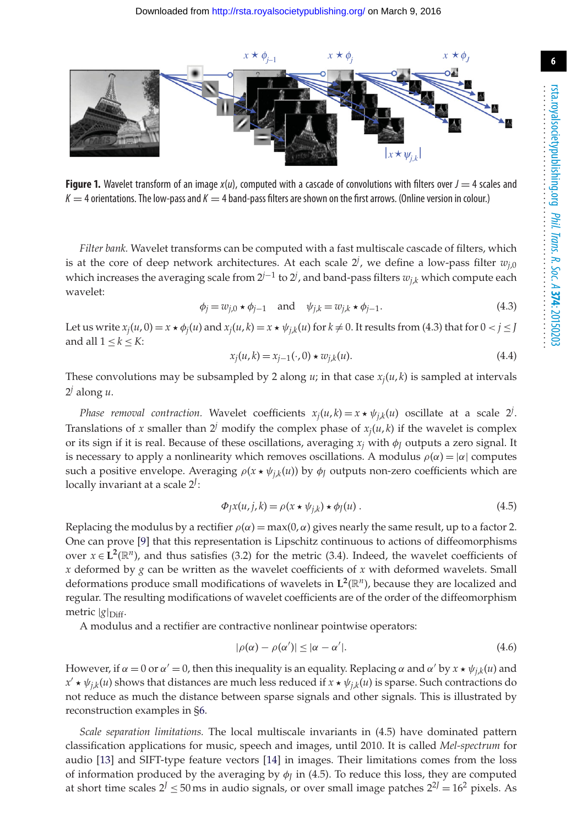

<span id="page-5-0"></span>**Figure 1.** Wavelet transform of an image  $x(u)$ , computed with a cascade of convolutions with filters over  $J = 4$  scales and  $K = 4$  orientations. The low-pass and  $K = 4$  band-pass filters are shown on the first arrows. (Online version in colour.)

*Filter bank.* Wavelet transforms can be computed with a fast multiscale cascade of filters, which is at the core of deep network architectures. At each scale  $2^j$ , we define a low-pass filter  $w_{j,0}$ which increases the averaging scale from 2*j*−<sup>1</sup> to 2*<sup>j</sup>* , and band-pass filters *wj*,*<sup>k</sup>* which compute each wavelet:

$$
\phi_j = w_{j,0} \star \phi_{j-1} \quad \text{and} \quad \psi_{j,k} = w_{j,k} \star \phi_{j-1}.
$$
\n
$$
(4.3)
$$

Let us write  $x_j(u, 0) = x * \phi_j(u)$  and  $x_j(u, k) = x * \psi_j(k(u)$  for  $k \neq 0$ . It results from (4.3) that for  $0 < j \leq J$ and all  $1 \leq k \leq K$ :

$$
x_j(u,k) = x_{j-1}(\cdot,0) \star w_{j,k}(u).
$$
\n(4.4)

These convolutions may be subsampled by 2 along  $u$ ; in that case  $x_i(u, k)$  is sampled at intervals  $2^j$  along  $u$ .

*Phase removal contraction.* Wavelet coefficients  $x_j(u, k) = x \star \psi_{j,k}(u)$  oscillate at a scale 2<sup>*j*</sup>. Translations of *x* smaller than  $2^j$  modify the complex phase of  $x_j(u, k)$  if the wavelet is complex or its sign if it is real. Because of these oscillations, averaging  $x_j$  with  $\phi$ <sub>*I*</sub> outputs a zero signal. It is necessary to apply a nonlinearity which removes oscillations. A modulus  $\rho(\alpha) = |\alpha|$  computes such a positive envelope. Averaging  $\rho(x \star \psi_{j,k}(u))$  by  $\phi_j$  outputs non-zero coefficients which are locally invariant at a scale 2*<sup>J</sup>* :

$$
\Phi_J x(u,j,k) = \rho(x \star \psi_{j,k}) \star \phi_J(u) . \tag{4.5}
$$

Replacing the modulus by a rectifier  $\rho(\alpha) = \max(0, \alpha)$  gives nearly the same result, up to a factor 2. One can prove [\[9\]](#page-14-8) that this representation is Lipschitz continuous to actions of diffeomorphisms over  $x \in L^2(\mathbb{R}^n)$ , and thus satisfies (3.2) for the metric (3.4). Indeed, the wavelet coefficients of *x* deformed by *g* can be written as the wavelet coefficients of *x* with deformed wavelets. Small deformations produce small modifications of wavelets in  $L^2(\mathbb{R}^n)$ , because they are localized and regular. The resulting modifications of wavelet coefficients are of the order of the diffeomorphism metric |*g*|<sub>Diff</sub>.

A modulus and a rectifier are contractive nonlinear pointwise operators:

$$
|\rho(\alpha) - \rho(\alpha')| \le |\alpha - \alpha'|.
$$
\n(4.6)

However, if  $\alpha = 0$  or  $\alpha' = 0$ , then this inequality is an equality. Replacing  $\alpha$  and  $\alpha'$  by  $x \star \psi_{i,k}(u)$  and  $x' \star \psi_{jk}(u)$  shows that distances are much less reduced if  $x \star \psi_{jk}(u)$  is sparse. Such contractions do not reduce as much the distance between sparse signals and other signals. This is illustrated by reconstruction examples in [§6.](#page-7-0)

*Scale separation limitations.* The local multiscale invariants in (4.5) have dominated pattern classification applications for music, speech and images, until 2010. It is called *Mel-spectrum* for audio [\[13\]](#page-15-2) and SIFT-type feature vectors [\[14\]](#page-15-3) in images. Their limitations comes from the loss of information produced by the averaging by  $\phi$ <sub>*I*</sub> in (4.5). To reduce this loss, they are computed at short time scales  $2^J \le 50$  ms in audio signals, or over small image patches  $2^{2J} = 16^2$  pixels. As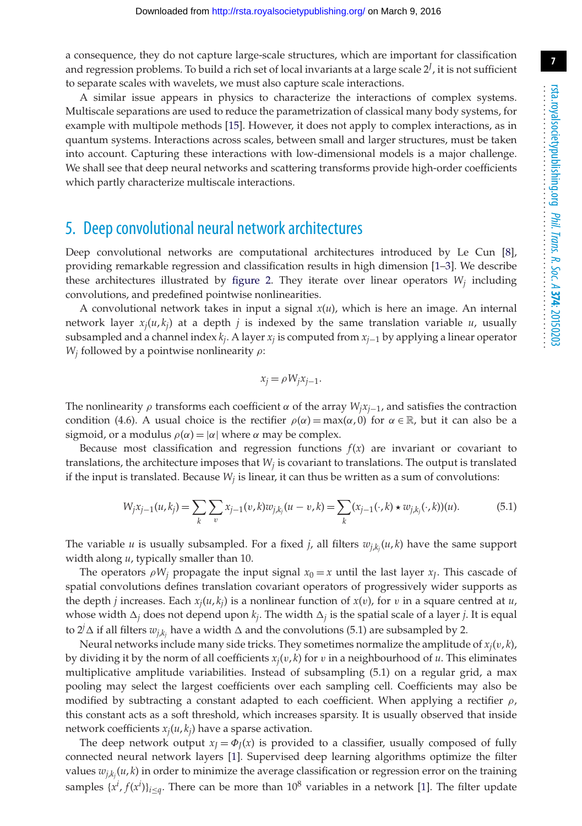a consequence, they do not capture large-scale structures, which are important for classification and regression problems. To build a rich set of local invariants at a large scale 2*<sup>J</sup>* , it is not sufficient to separate scales with wavelets, we must also capture scale interactions.

A similar issue appears in physics to characterize the interactions of complex systems. Multiscale separations are used to reduce the parametrization of classical many body systems, for example with multipole methods [\[15\]](#page-15-4). However, it does not apply to complex interactions, as in quantum systems. Interactions across scales, between small and larger structures, must be taken into account. Capturing these interactions with low-dimensional models is a major challenge. We shall see that deep neural networks and scattering transforms provide high-order coefficients which partly characterize multiscale interactions.

### <span id="page-6-0"></span>5. Deep convolutional neural network architectures

Deep convolutional networks are computational architectures introduced by Le Cun [\[8\]](#page-14-7), providing remarkable regression and classification results in high dimension [\[1–](#page-14-0)[3\]](#page-14-2). We describe these architectures illustrated by [figure 2.](#page-7-1) They iterate over linear operators  $W_i$  including convolutions, and predefined pointwise nonlinearities.

A convolutional network takes in input a signal *x*(*u*), which is here an image. An internal network layer  $x_i(u, k_i)$  at a depth *j* is indexed by the same translation variable *u*, usually subsampled and a channel index *kj*. A layer *xj* is computed from *xj*<sup>−</sup><sup>1</sup> by applying a linear operator  $W_i$  followed by a pointwise nonlinearity  $\rho$ :

$$
x_j = \rho W_j x_{j-1}.
$$

The nonlinearity  $\rho$  transforms each coefficient  $\alpha$  of the array  $W_jx_{j-1}$ , and satisfies the contraction condition (4.6). A usual choice is the rectifier  $\rho(\alpha) = \max(\alpha, 0)$  for  $\alpha \in \mathbb{R}$ , but it can also be a sigmoid, or a modulus  $\rho(\alpha) = |\alpha|$  where  $\alpha$  may be complex.

Because most classification and regression functions  $f(x)$  are invariant or covariant to translations, the architecture imposes that  $W_j$  is covariant to translations. The output is translated if the input is translated. Because  $W_i$  is linear, it can thus be written as a sum of convolutions:

$$
W_j x_{j-1}(u, k_j) = \sum_k \sum_v x_{j-1}(v, k) w_{j, k_j}(u - v, k) = \sum_k (x_{j-1}(\cdot, k) \star w_{j, k_j}(\cdot, k))(u).
$$
 (5.1)

The variable *u* is usually subsampled. For a fixed *j*, all filters *wj*,*kj* (*u*, *k*) have the same support width along *u*, typically smaller than 10.

The operators  $\rho W_i$  propagate the input signal  $x_0 = x$  until the last layer  $x_i$ . This cascade of spatial convolutions defines translation covariant operators of progressively wider supports as the depth *j* increases. Each  $x_i(u, k_i)$  is a nonlinear function of  $x(v)$ , for v in a square centred at  $u$ , whose width  $\Delta_i$  does not depend upon  $k_i$ . The width  $\Delta_i$  is the spatial scale of a layer *j*. It is equal to  $2^j\Delta$  if all filters  $w_{j,k_j}$  have a width  $\Delta$  and the convolutions (5.1) are subsampled by 2.

Neural networks include many side tricks. They sometimes normalize the amplitude of  $x_i(v, k)$ , by dividing it by the norm of all coefficients  $x_i(v, k)$  for  $v$  in a neighbourhood of  $u$ . This eliminates multiplicative amplitude variabilities. Instead of subsampling (5.1) on a regular grid, a max pooling may select the largest coefficients over each sampling cell. Coefficients may also be modified by subtracting a constant adapted to each coefficient. When applying a rectifier  $\rho$ , this constant acts as a soft threshold, which increases sparsity. It is usually observed that inside network coefficients  $x_i(u, k_i)$  have a sparse activation.

The deep network output  $x_I = \Phi_I(x)$  is provided to a classifier, usually composed of fully connected neural network layers [\[1\]](#page-14-0). Supervised deep learning algorithms optimize the filter values *wj*,*kj* (*u*, *k*) in order to minimize the average classification or regression error on the training samples  $\{x^i, f(x^i)\}_{i \leq q}$ . There can be more than  $10^8$  variables in a network [\[1\]](#page-14-0). The filter update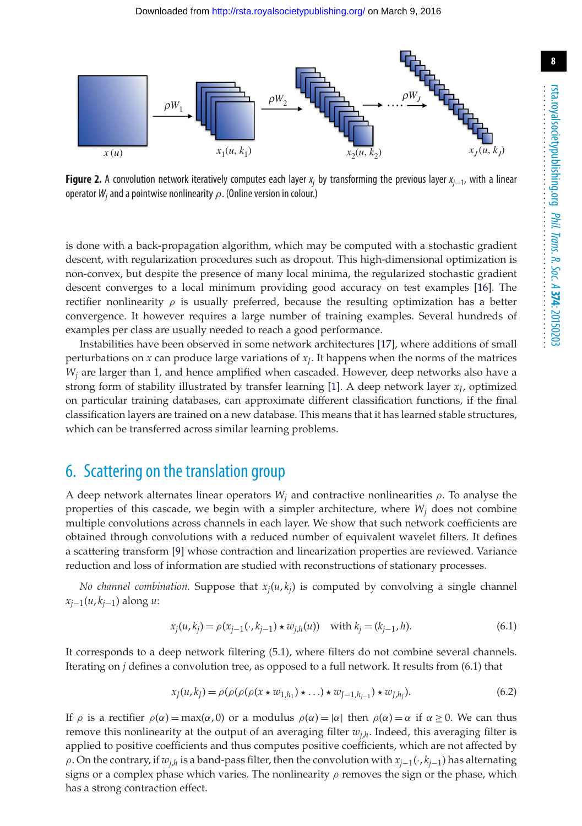

<span id="page-7-1"></span>**Figure 2.** A convolution network iteratively computes each layer *xj* by transforming the previous layer *xj*−1, with a linear operator*Wj* and a pointwise nonlinearity ρ. (Online version in colour.)

is done with a back-propagation algorithm, which may be computed with a stochastic gradient descent, with regularization procedures such as dropout. This high-dimensional optimization is non-convex, but despite the presence of many local minima, the regularized stochastic gradient descent converges to a local minimum providing good accuracy on test examples [\[16\]](#page-15-5). The rectifier nonlinearity  $\rho$  is usually preferred, because the resulting optimization has a better convergence. It however requires a large number of training examples. Several hundreds of examples per class are usually needed to reach a good performance.

Instabilities have been observed in some network architectures [\[17\]](#page-15-6), where additions of small perturbations on *x* can produce large variations of *xJ*. It happens when the norms of the matrices *Wj* are larger than 1, and hence amplified when cascaded. However, deep networks also have a strong form of stability illustrated by transfer learning [\[1\]](#page-14-0). A deep network layer  $x_I$ , optimized on particular training databases, can approximate different classification functions, if the final classification layers are trained on a new database. This means that it has learned stable structures, which can be transferred across similar learning problems.

#### <span id="page-7-0"></span>6. Scattering on the translation group

A deep network alternates linear operators  $W_j$  and contractive nonlinearities  $\rho$ . To analyse the properties of this cascade, we begin with a simpler architecture, where  $W_i$  does not combine multiple convolutions across channels in each layer. We show that such network coefficients are obtained through convolutions with a reduced number of equivalent wavelet filters. It defines a scattering transform [\[9\]](#page-14-8) whose contraction and linearization properties are reviewed. Variance reduction and loss of information are studied with reconstructions of stationary processes.

*No channel combination.* Suppose that  $x_i(u, k_i)$  is computed by convolving a single channel *xj*−1(*u*, *kj*−1) along *u*:

$$
x_j(u, k_j) = \rho(x_{j-1}(\cdot, k_{j-1}) \star w_{j,h}(u)) \quad \text{with } k_j = (k_{j-1}, h). \tag{6.1}
$$

It corresponds to a deep network filtering (5.1), where filters do not combine several channels. Iterating on *j* defines a convolution tree, as opposed to a full network. It results from (6.1) that

$$
x_J(u, k_J) = \rho(\rho(\rho(\rho(x \star w_{1,h_1}) \star ... ) \star w_{J-1,h_{J-1}}) \star w_{J,h_J}).
$$
\n(6.2)

If  $\rho$  is a rectifier  $\rho(\alpha) = \max(\alpha, 0)$  or a modulus  $\rho(\alpha) = |\alpha|$  then  $\rho(\alpha) = \alpha$  if  $\alpha \ge 0$ . We can thus remove this nonlinearity at the output of an averaging filter  $w_{i,h}$ . Indeed, this averaging filter is applied to positive coefficients and thus computes positive coefficients, which are not affected by ρ. On the contrary, if *wj*,*<sup>h</sup>* is a band-pass filter, then the convolution with *xj*−1(·, *kj*−1) has alternating signs or a complex phase which varies. The nonlinearity  $\rho$  removes the sign or the phase, which has a strong contraction effect.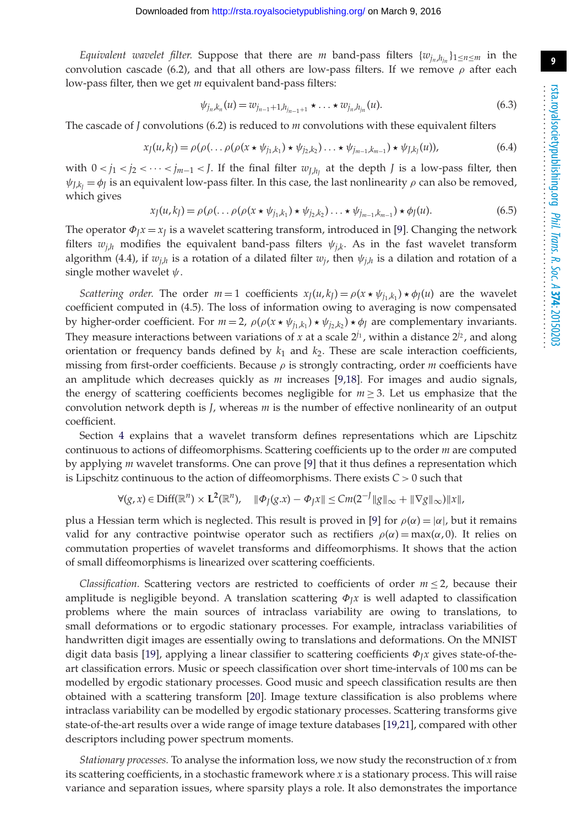*Equivalent wavelet filter.* Suppose that there are *m* band-pass filters  $\{w_{i_n}, h_{i_n}\}_{1 \leq n \leq m}$  in the convolution cascade (6.2), and that all others are low-pass filters. If we remove  $\rho$  after each low-pass filter, then we get *m* equivalent band-pass filters:

$$
\psi_{j_n,k_n}(u) = w_{j_{n-1}+1,h_{j_{n-1}+1}} \star \ldots \star w_{j_n,h_{j_n}}(u).
$$
\n(6.3)

The cascade of *J* convolutions (6.2) is reduced to *m* convolutions with these equivalent filters

$$
x_J(u, k_J) = \rho(\rho(\ldots \rho(\rho(x \star \psi_{j_1, k_1}) \star \psi_{j_2, k_2}) \ldots \star \psi_{j_{m-1}, k_{m-1}}) \star \psi_{J, k_J}(u)),
$$
(6.4)

with  $0 < j_1 < j_2 < \cdots < j_{m-1} < J$ . If the final filter  $w_{J,h_1}$  at the depth *J* is a low-pass filter, then  $\psi_{J,k_I} = \phi_J$  is an equivalent low-pass filter. In this case, the last nonlinearity  $\rho$  can also be removed, which gives

$$
x_J(u,k_J) = \rho(\rho(\ldots \rho(\rho(x \star \psi_{j_1,k_1}) \star \psi_{j_2,k_2}) \ldots \star \psi_{j_{m-1},k_{m-1}}) \star \phi_J(u). \tag{6.5}
$$

The operator  $\Phi_l x = x_l$  is a wavelet scattering transform, introduced in [\[9\]](#page-14-8). Changing the network filters  $w_{i,h}$  modifies the equivalent band-pass filters  $\psi_{i,k}$ . As in the fast wavelet transform algorithm (4.4), if  $w_{j,h}$  is a rotation of a dilated filter  $w_j$ , then  $\psi_{j,h}$  is a dilation and rotation of a single mother wavelet  $\psi$ .

*Scattering order.* The order  $m = 1$  coefficients  $x_J(u, k_J) = \rho(x * \psi_{j_1, k_1}) * \phi_J(u)$  are the wavelet coefficient computed in (4.5). The loss of information owing to averaging is now compensated by higher-order coefficient. For  $m = 2$ ,  $\rho(\rho(x * \psi_{j_1,k_1}) * \psi_{j_2,k_2}) * \phi_j$  are complementary invariants. They measure interactions between variations of *x* at a scale  $2^{j_1}$ , within a distance  $2^{j_2}$ , and along orientation or frequency bands defined by *k*<sup>1</sup> and *k*2. These are scale interaction coefficients, missing from first-order coefficients. Because  $\rho$  is strongly contracting, order *m* coefficients have an amplitude which decreases quickly as *m* increases [\[9](#page-14-8)[,18\]](#page-15-7). For images and audio signals, the energy of scattering coefficients becomes negligible for  $m \geq 3$ . Let us emphasize that the convolution network depth is *J*, whereas *m* is the number of effective nonlinearity of an output coefficient.

Section [4](#page-4-0) explains that a wavelet transform defines representations which are Lipschitz continuous to actions of diffeomorphisms. Scattering coefficients up to the order *m* are computed by applying *m* wavelet transforms. One can prove [\[9\]](#page-14-8) that it thus defines a representation which is Lipschitz continuous to the action of diffeomorphisms. There exists *C* > 0 such that

$$
\forall (g, x) \in \text{Diff}(\mathbb{R}^n) \times L^2(\mathbb{R}^n), \quad \|\Phi_J(g.x) - \Phi_J x\| \leq Cm(2^{-J} \|g\|_{\infty} + \|\nabla g\|_{\infty}) \|x\|,
$$

plus a Hessian term which is neglected. This result is proved in [\[9\]](#page-14-8) for  $\rho(\alpha) = |\alpha|$ , but it remains valid for any contractive pointwise operator such as rectifiers  $\rho(\alpha) = \max(\alpha, 0)$ . It relies on commutation properties of wavelet transforms and diffeomorphisms. It shows that the action of small diffeomorphisms is linearized over scattering coefficients.

*Classification.* Scattering vectors are restricted to coefficients of order  $m \leq 2$ , because their amplitude is negligible beyond. A translation scattering  $\Phi_l x$  is well adapted to classification problems where the main sources of intraclass variability are owing to translations, to small deformations or to ergodic stationary processes. For example, intraclass variabilities of handwritten digit images are essentially owing to translations and deformations. On the MNIST digit data basis [\[19\]](#page-15-8), applying a linear classifier to scattering coefficients Φ*Jx* gives state-of-theart classification errors. Music or speech classification over short time-intervals of 100 ms can be modelled by ergodic stationary processes. Good music and speech classification results are then obtained with a scattering transform [\[20\]](#page-15-9). Image texture classification is also problems where intraclass variability can be modelled by ergodic stationary processes. Scattering transforms give state-of-the-art results over a wide range of image texture databases [\[19,](#page-15-8)[21\]](#page-15-10), compared with other descriptors including power spectrum moments.

*Stationary processes.* To analyse the information loss, we now study the reconstruction of *x* from its scattering coefficients, in a stochastic framework where *x* is a stationary process. This will raise variance and separation issues, where sparsity plays a role. It also demonstrates the importance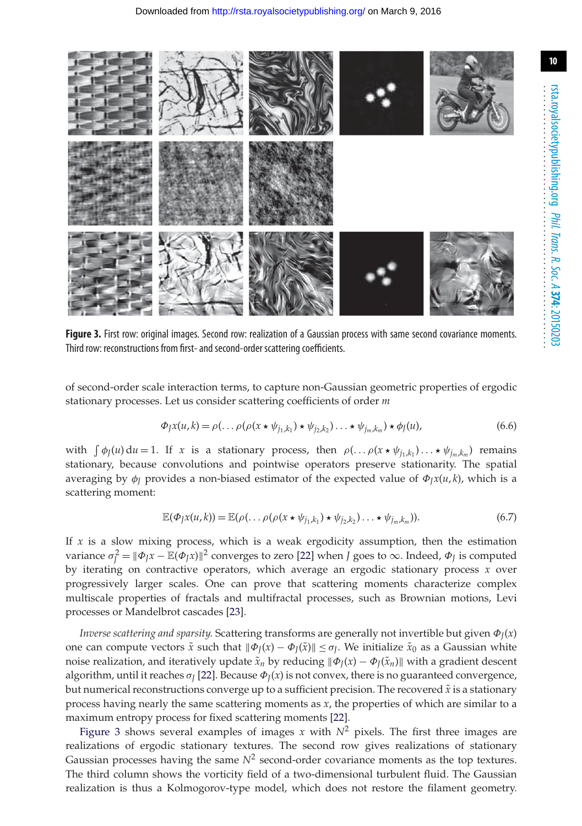

<span id="page-9-0"></span>**Figure 3.** First row: original images. Second row: realization of a Gaussian process with same second covariance moments. Third row: reconstructions from first- and second-order scattering coefficients.

of second-order scale interaction terms, to capture non-Gaussian geometric properties of ergodic stationary processes. Let us consider scattering coefficients of order *m*

$$
\Phi_J x(u,k) = \rho(\ldots \rho(\rho(x \star \psi_{j_1,k_1}) \star \psi_{j_2,k_2}) \ldots \star \psi_{j_m,k_m}) \star \phi_J(u), \tag{6.6}
$$

with  $\int \phi_J(u) du = 1$ . If *x* is a stationary process, then  $\rho(\ldots \rho(x * \psi_{j_1,k_1}) \ldots * \psi_{j_m,k_m})$  remains stationary, because convolutions and pointwise operators preserve stationarity. The spatial averaging by  $\phi$ *I* provides a non-biased estimator of the expected value of  $\Phi$ <sub>*J</sub>x*(*u*, *k*), which is a</sub> scattering moment:

$$
\mathbb{E}(\Phi_J x(u,k)) = \mathbb{E}(\rho(\ldots \rho(\rho(x \star \psi_{j_1,k_1}) \star \psi_{j_2,k_2}) \ldots \star \psi_{j_m,k_m})). \tag{6.7}
$$

If *x* is a slow mixing process, which is a weak ergodicity assumption, then the estimation variance  $\sigma_j^2 = ||\Phi_J x - \mathbb{E}(\Phi_J x)||^2$  converges to zero [\[22\]](#page-15-11) when *J* goes to  $\infty$ . Indeed,  $\Phi_J$  is computed by iterating on contractive operators, which average an ergodic stationary process *x* over progressively larger scales. One can prove that scattering moments characterize complex multiscale properties of fractals and multifractal processes, such as Brownian motions, Levi processes or Mandelbrot cascades [\[23\]](#page-15-12).

*Inverse scattering and sparsity.* Scattering transforms are generally not invertible but given Φ*J*(*x*) one can compute vectors  $\tilde{x}$  such that  $\|\Phi_I(x) - \Phi_I(\tilde{x})\| \leq \sigma_I$ . We initialize  $\tilde{x}_0$  as a Gaussian white noise realization, and iteratively update  $\tilde{x}_n$  by reducing  $\|\Phi_I(x) - \Phi_I(\tilde{x}_n)\|$  with a gradient descent algorithm, until it reaches  $\sigma$ <sup>[\[22\]](#page-15-11)</sup>. Because  $\Phi$ <sub>*J*</sub>(*x*) is not convex, there is no guaranteed convergence, but numerical reconstructions converge up to a sufficient precision. The recovered  $\tilde{x}$  is a stationary process having nearly the same scattering moments as *x*, the properties of which are similar to a maximum entropy process for fixed scattering moments [\[22\]](#page-15-11).

[Figure 3](#page-9-0) shows several examples of images *x* with  $N^2$  pixels. The first three images are realizations of ergodic stationary textures. The second row gives realizations of stationary Gaussian processes having the same  $N^2$  second-order covariance moments as the top textures. The third column shows the vorticity field of a two-dimensional turbulent fluid. The Gaussian realization is thus a Kolmogorov-type model, which does not restore the filament geometry.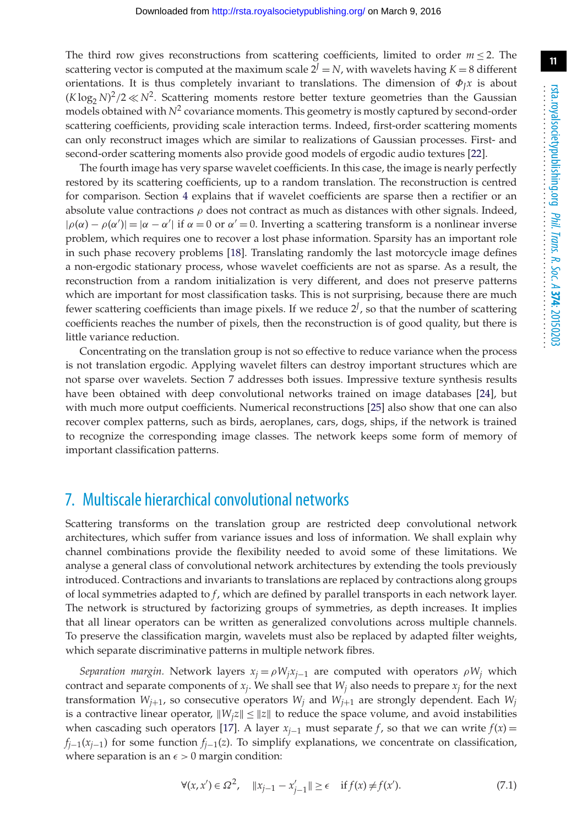.........................................................

**11**

The third row gives reconstructions from scattering coefficients, limited to order  $m \leq 2$ . The scattering vector is computed at the maximum scale  $2^J = N$ , with wavelets having  $K = 8$  different orientations. It is thus completely invariant to translations. The dimension of  $\Phi_J x$  is about  $(K \log_2 N)^2/2 \ll N^2$ . Scattering moments restore better texture geometries than the Gaussian models obtained with  $N^2$  covariance moments. This geometry is mostly captured by second-order scattering coefficients, providing scale interaction terms. Indeed, first-order scattering moments can only reconstruct images which are similar to realizations of Gaussian processes. First- and second-order scattering moments also provide good models of ergodic audio textures [\[22\]](#page-15-11).

The fourth image has very sparse wavelet coefficients. In this case, the image is nearly perfectly restored by its scattering coefficients, up to a random translation. The reconstruction is centred for comparison. Section [4](#page-4-0) explains that if wavelet coefficients are sparse then a rectifier or an absolute value contractions  $\rho$  does not contract as much as distances with other signals. Indeed,  $|\rho(\alpha) - \rho(\alpha')| = |\alpha - \alpha'|$  if  $\alpha = 0$  or  $\alpha' = 0$ . Inverting a scattering transform is a nonlinear inverse problem, which requires one to recover a lost phase information. Sparsity has an important role in such phase recovery problems [\[18\]](#page-15-7). Translating randomly the last motorcycle image defines a non-ergodic stationary process, whose wavelet coefficients are not as sparse. As a result, the reconstruction from a random initialization is very different, and does not preserve patterns which are important for most classification tasks. This is not surprising, because there are much fewer scattering coefficients than image pixels. If we reduce  $2^f$ , so that the number of scattering coefficients reaches the number of pixels, then the reconstruction is of good quality, but there is little variance reduction.

Concentrating on the translation group is not so effective to reduce variance when the process is not translation ergodic. Applying wavelet filters can destroy important structures which are not sparse over wavelets. Section 7 addresses both issues. Impressive texture synthesis results have been obtained with deep convolutional networks trained on image databases [\[24\]](#page-15-13), but with much more output coefficients. Numerical reconstructions [\[25\]](#page-15-14) also show that one can also recover complex patterns, such as birds, aeroplanes, cars, dogs, ships, if the network is trained to recognize the corresponding image classes. The network keeps some form of memory of important classification patterns.

#### <span id="page-10-0"></span>7. Multiscale hierarchical convolutional networks

Scattering transforms on the translation group are restricted deep convolutional network architectures, which suffer from variance issues and loss of information. We shall explain why channel combinations provide the flexibility needed to avoid some of these limitations. We analyse a general class of convolutional network architectures by extending the tools previously introduced. Contractions and invariants to translations are replaced by contractions along groups of local symmetries adapted to *f*, which are defined by parallel transports in each network layer. The network is structured by factorizing groups of symmetries, as depth increases. It implies that all linear operators can be written as generalized convolutions across multiple channels. To preserve the classification margin, wavelets must also be replaced by adapted filter weights, which separate discriminative patterns in multiple network fibres.

*Separation margin.* Network layers  $x_j = \rho W_j x_{j-1}$  are computed with operators  $\rho W_j$  which contract and separate components of  $x_i$ . We shall see that  $W_i$  also needs to prepare  $x_i$  for the next transformation  $W_{j+1}$ , so consecutive operators  $W_j$  and  $W_{j+1}$  are strongly dependent. Each  $W_j$ is a contractive linear operator,  $||W_i z|| \le ||z||$  to reduce the space volume, and avoid instabilities when cascading such operators [\[17\]](#page-15-6). A layer  $x_{i-1}$  must separate *f*, so that we can write  $f(x) =$  $f_{i-1}(x_{i-1})$  for some function  $f_{i-1}(z)$ . To simplify explanations, we concentrate on classification, where separation is an  $\epsilon > 0$  margin condition: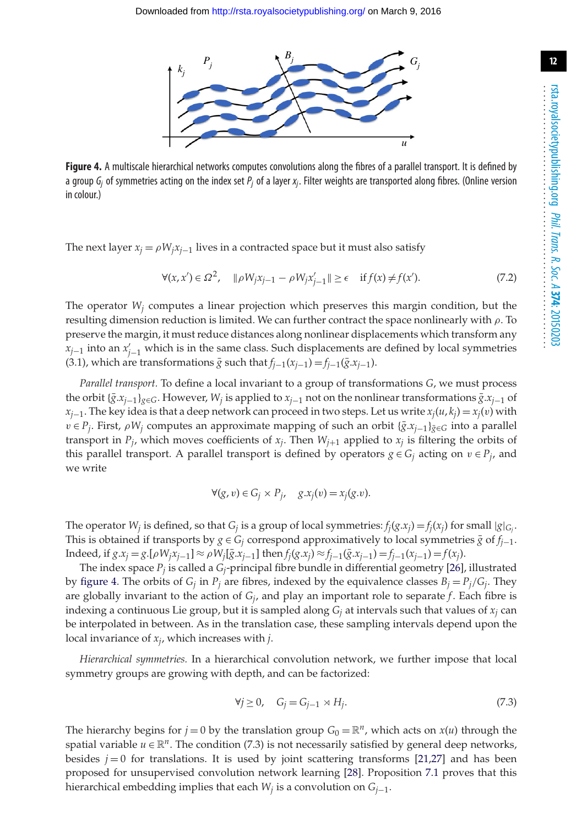

<span id="page-11-0"></span>**Figure 4.** A multiscale hierarchical networks computes convolutions along the fibres of a parallel transport. It is defined by a group *Gj* of symmetries acting on the index set *Pj* of a layer *xj*. Filter weights are transported along fibres. (Online version in colour.)

The next layer  $x_j = \rho W_j x_{j-1}$  lives in a contracted space but it must also satisfy

$$
\forall (x, x') \in \Omega^2, \quad \|\rho W_j x_{j-1} - \rho W_j x'_{j-1}\| \ge \epsilon \quad \text{if } f(x) \ne f(x'). \tag{7.2}
$$

The operator  $W_i$  computes a linear projection which preserves this margin condition, but the resulting dimension reduction is limited. We can further contract the space nonlinearly with  $\rho$ . To preserve the margin, it must reduce distances along nonlinear displacements which transform any *x*<sub>*j*−1</sub> into an *x*<sup>*j*</sup><sub>*j*−1</sub> which is in the same class. Such displacements are defined by local symmetries (3.1), which are transformations  $\bar{g}$  such that  $f_{j-1}(x_{j-1}) = f_{j-1}(\bar{g}.x_{j-1})$ .

*Parallel transport.* To define a local invariant to a group of transformations *G*, we must process the orbit {*g*¯.*xj*<sup>−</sup>1}*g*∈*G*. However, *Wj* is applied to *xj*<sup>−</sup><sup>1</sup> not on the nonlinear transformations *g*¯.*xj*<sup>−</sup><sup>1</sup> of  $x_{i-1}$ . The key idea is that a deep network can proceed in two steps. Let us write  $x_i(u, k_i) = x_i(v)$  with  $v \in P_i$ . First,  $\rho W_i$  computes an approximate mapping of such an orbit  $\{\bar{g} \cdot x_{i-1}\}_{\bar{g} \in G}$  into a parallel transport in  $P_j$ , which moves coefficients of  $x_j$ . Then  $W_{j+1}$  applied to  $x_j$  is filtering the orbits of this parallel transport. A parallel transport is defined by operators  $g \in G_i$  acting on  $v \in P_i$ , and we write

$$
\forall (g, v) \in G_j \times P_j, \quad g.x_j(v) = x_j(g.v).
$$

The operator  $W_j$  is defined, so that  $G_j$  is a group of local symmetries:  $f_j(g.x_j) = f_j(x_j)$  for small  $|g|_{G_j}$ . This is obtained if transports by *g* ∈ *G<sub>i</sub>* correspond approximatively to local symmetries  $\bar{g}$  of *f<sub>i*−1</sub>. Indeed, if *g*.*x<sub>j</sub>* = *g*.[*ρW<sub>j</sub>* $x$ <sub>*j*−1</sub>] ≈ *ρW<sub>j</sub>*[ $\bar{g}$ .*x<sub>j</sub>*−1] then *f<sub>j</sub>*(*g*.*x<sub>j</sub>*) ≈ *f<sub>j</sub>*−1( $\bar{g}$ .*x<sub>j</sub>*−1) = *f*<sub>*j*</sub>−1( $x$ <sub>*j*</sub>−1) = *f*(*x<sub>j</sub>*).

The index space *Pj* is called a *Gj*-principal fibre bundle in differential geometry [\[26\]](#page-15-15), illustrated by [figure 4.](#page-11-0) The orbits of  $G_i$  in  $P_i$  are fibres, indexed by the equivalence classes  $B_i = P_i/G_i$ . They are globally invariant to the action of *Gj*, and play an important role to separate *f*. Each fibre is indexing a continuous Lie group, but it is sampled along *Gj* at intervals such that values of *xj* can be interpolated in between. As in the translation case, these sampling intervals depend upon the local invariance of *xj*, which increases with *j*.

*Hierarchical symmetries.* In a hierarchical convolution network, we further impose that local symmetry groups are growing with depth, and can be factorized:

$$
\forall j \ge 0, \quad G_j = G_{j-1} \rtimes H_j. \tag{7.3}
$$

<span id="page-11-1"></span>The hierarchy begins for  $j = 0$  by the translation group  $G_0 = \mathbb{R}^n$ , which acts on  $x(u)$  through the spatial variable  $u \in \mathbb{R}^n$ . The condition (7.3) is not necessarily satisfied by general deep networks, besides  $j = 0$  for translations. It is used by joint scattering transforms [\[21](#page-15-10)[,27\]](#page-15-16) and has been proposed for unsupervised convolution network learning [\[28\]](#page-15-17). Proposition [7.1](#page-11-1) proves that this hierarchical embedding implies that each *Wj* is a convolution on *Gj*−1.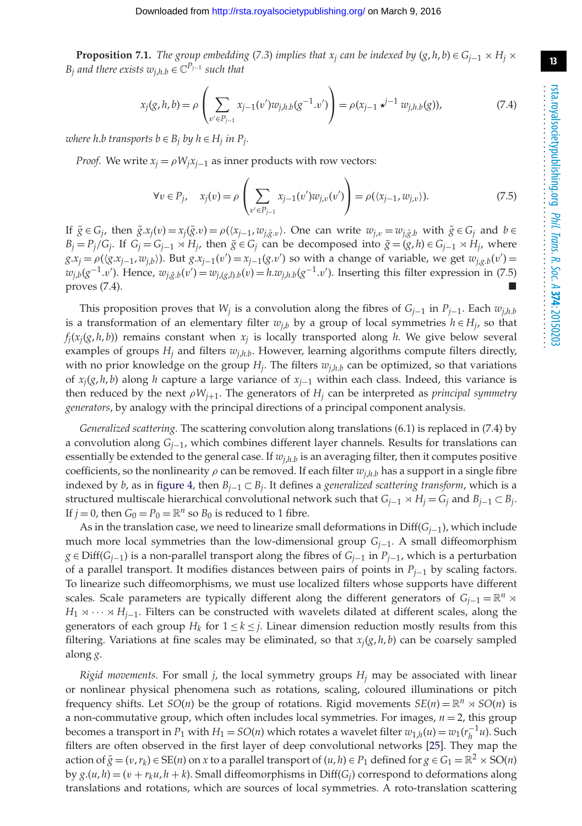**Proposition 7.1.** *The group embedding* (*7.3*) *implies that x<sub>j</sub> can be indexed by*  $(g, h, b) \in G_{i-1} \times H_i \times G_i$ *B*<sub>*i*</sub> and there exists  $w_{i,h,h} \in \mathbb{C}^{P_{j-1}}$  such that

$$
x_j(g, h, b) = \rho \left( \sum_{v' \in P_{j-1}} x_{j-1}(v') w_{j,h,b}(g^{-1} \cdot v') \right) = \rho(x_{j-1} \star^{j-1} w_{j,h,b}(g)), \tag{7.4}
$$

*where h.b transports b*  $\in$  *B*<sub>*j</sub> by h*  $\in$  *H*<sub>*j*</sub> *in P*<sub>*j*</sub>.</sub>

*Proof.* We write  $x_i = \rho W_i x_{i-1}$  as inner products with row vectors:

$$
\forall v \in P_j, \quad x_j(v) = \rho \left( \sum_{v' \in P_{j-1}} x_{j-1}(v') w_{j,v}(v') \right) = \rho(\langle x_{j-1}, w_{j,v} \rangle). \tag{7.5}
$$

If  $\bar{g} \in G_j$ , then  $\bar{g} \cdot x_j(v) = x_j(\bar{g} \cdot v) = \rho((x_{j-1}, w_{j,\bar{g} \cdot v})$ . One can write  $w_{j,v} = w_{j,\bar{g} \cdot v}$  with  $\bar{g} \in G_j$  and  $b \in G_j$  $B_j = P_j/G_j$ . If  $G_j = G_{j-1} \rtimes H_j$ , then  $\bar{g} \in G_j$  can be decomposed into  $\bar{g} = (g, h) \in G_{j-1} \rtimes H_j$ , where  $g.x_j = \rho((g.x_{j-1}, w_{j,b}))$ . But  $g.x_{j-1}(v') = x_{j-1}(g.v')$  so with a change of variable, we get  $w_{j,g,b}(v') =$  $w_{j,b}(g^{-1}.v')$ . Hence,  $w_{j,\bar{g},b}(v') = w_{j,(g,l),b}(v) = h.w_{j,h,b}(g^{-1}.v')$ . Inserting this filter expression in (7.5)  $\blacksquare$  proves (7.4).

This proposition proves that *W<sub>i</sub>* is a convolution along the fibres of *G<sub>i−1</sub>* in *P<sub>i−1</sub>*. Each  $w_{i,h}$ is a transformation of an elementary filter  $w_{i,b}$  by a group of local symmetries  $h \in H_i$ , so that  $f_i(x_i(g, h, b))$  remains constant when  $x_i$  is locally transported along h. We give below several examples of groups  $H_i$  and filters  $w_{i,h,b}$ . However, learning algorithms compute filters directly, with no prior knowledge on the group  $H_j$ . The filters  $w_{j,h,b}$  can be optimized, so that variations of *xj*(*g*, *h*, *b*) along *h* capture a large variance of *xj*<sup>−</sup><sup>1</sup> within each class. Indeed, this variance is then reduced by the next  $\rho W_{j+1}$ . The generators of  $H_j$  can be interpreted as *principal symmetry generators*, by analogy with the principal directions of a principal component analysis.

*Generalized scattering.* The scattering convolution along translations (6.1) is replaced in (7.4) by a convolution along *Gj*−1, which combines different layer channels. Results for translations can essentially be extended to the general case. If  $w_{i,h,b}$  is an averaging filter, then it computes positive coefficients, so the nonlinearity  $\rho$  can be removed. If each filter  $w_{i,h,b}$  has a support in a single fibre indexed by *b*, as in [figure 4,](#page-11-0) then *Bj*<sup>−</sup><sup>1</sup> ⊂ *Bj*. It defines a *generalized scattering transform*, which is a structured multiscale hierarchical convolutional network such that  $G_{j-1} \rtimes H_j = G_j$  and  $B_{j-1} \subset B_j$ . If  $j = 0$ , then  $G_0 = P_0 = \mathbb{R}^n$  so  $B_0$  is reduced to 1 fibre.

As in the translation case, we need to linearize small deformations in Diff(*Gj*−1), which include much more local symmetries than the low-dimensional group *Gj*−1. A small diffeomorphism *g* ∈ Diff(*G<sub>j−1</sub>*) is a non-parallel transport along the fibres of *G<sub>j−1</sub>* in *P<sub>j−1</sub>*, which is a perturbation of a parallel transport. It modifies distances between pairs of points in *Pj*<sup>−</sup><sup>1</sup> by scaling factors. To linearize such diffeomorphisms, we must use localized filters whose supports have different scales. Scale parameters are typically different along the different generators of  $G_{j-1} = \mathbb{R}^n \times$  $H_1 \rtimes \cdots \rtimes H_{j-1}$ . Filters can be constructed with wavelets dilated at different scales, along the generators of each group  $H_k$  for  $1 \leq k \leq j$ . Linear dimension reduction mostly results from this filtering. Variations at fine scales may be eliminated, so that  $x_i(g, h, b)$  can be coarsely sampled along *g*.

*Rigid movements.* For small  $j$ , the local symmetry groups  $H_j$  may be associated with linear or nonlinear physical phenomena such as rotations, scaling, coloured illuminations or pitch frequency shifts. Let *SO*(*n*) be the group of rotations. Rigid movements  $SE(n) = \mathbb{R}^n \times SO(n)$  is a non-commutative group, which often includes local symmetries. For images, *n* = 2, this group becomes a transport in *P*<sub>1</sub> with *H*<sub>1</sub> = *SO*(*n*) which rotates a wavelet filter  $w_{1,h}(u) = w_1(r_h^{-1}u)$ . Such filters are often observed in the first layer of deep convolutional networks [\[25\]](#page-15-14). They map the action of  $\bar{g} = (v, r_k) \in SE(n)$  on *x* to a parallel transport of  $(u, h) \in P_1$  defined for  $g \in G_1 = \mathbb{R}^2 \times SO(n)$ by  $g.(u, h) = (v + r_ku, h + k)$ . Small diffeomorphisms in Diff( $G_i$ ) correspond to deformations along translations and rotations, which are sources of local symmetries. A roto-translation scattering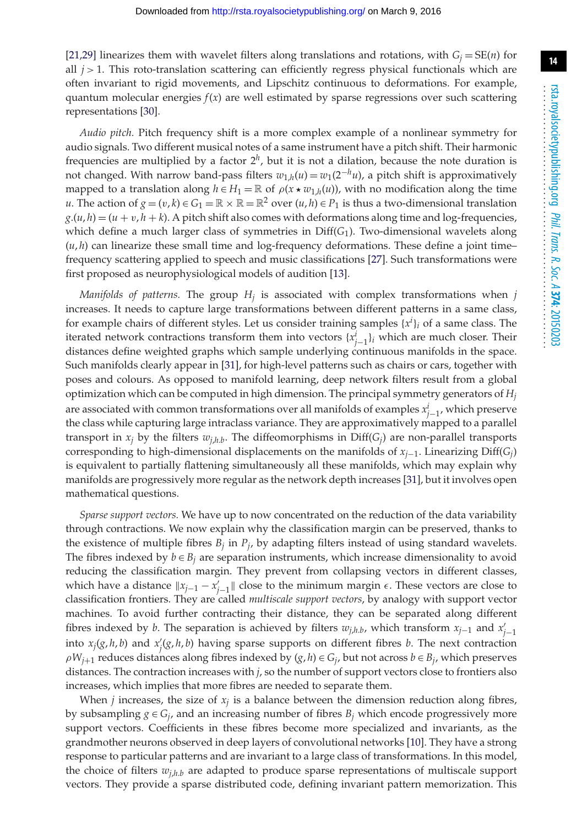[\[21](#page-15-10)[,29\]](#page-15-18) linearizes them with wavelet filters along translations and rotations, with  $G_i = SE(n)$  for all  $j > 1$ . This roto-translation scattering can efficiently regress physical functionals which are often invariant to rigid movements, and Lipschitz continuous to deformations. For example, quantum molecular energies  $f(x)$  are well estimated by sparse regressions over such scattering representations [\[30\]](#page-15-19).

*Audio pitch.* Pitch frequency shift is a more complex example of a nonlinear symmetry for audio signals. Two different musical notes of a same instrument have a pitch shift. Their harmonic frequencies are multiplied by a factor 2*h*, but it is not a dilation, because the note duration is not changed. With narrow band-pass filters  $w_{1,h}(u) = w_1(2^{-h}u)$ , a pitch shift is approximatively mapped to a translation along  $h \in H_1 = \mathbb{R}$  of  $\rho(x \star w_{1,h}(u))$ , with no modification along the time *u*. The action of  $g = (v, k) \in G_1 = \mathbb{R} \times \mathbb{R} = \mathbb{R}^2$  over  $(u, h) \in P_1$  is thus a two-dimensional translation  $g.(u, h) = (u + v, h + k)$ . A pitch shift also comes with deformations along time and log-frequencies, which define a much larger class of symmetries in Diff(*G*1). Two-dimensional wavelets along  $(u, h)$  can linearize these small time and log-frequency deformations. These define a joint time– frequency scattering applied to speech and music classifications [\[27\]](#page-15-16). Such transformations were first proposed as neurophysiological models of audition [\[13\]](#page-15-2).

*Manifolds of patterns.* The group  $H_i$  is associated with complex transformations when  $j$ increases. It needs to capture large transformations between different patterns in a same class, for example chairs of different styles. Let us consider training samples  $\{x^i\}_i$  of a same class. The iterated network contractions transform them into vectors  $\{x_{j-1}^i\}$ *i* which are much closer. Their distances define weighted graphs which sample underlying continuous manifolds in the space. Such manifolds clearly appear in [\[31\]](#page-15-20), for high-level patterns such as chairs or cars, together with poses and colours. As opposed to manifold learning, deep network filters result from a global optimization which can be computed in high dimension. The principal symmetry generators of *Hj* are associated with common transformations over all manifolds of examples *xi <sup>j</sup>*−1, which preserve the class while capturing large intraclass variance. They are approximatively mapped to a parallel transport in  $x_j$  by the filters  $w_{j,h,b}$ . The diffeomorphisms in  $Diff(G_j)$  are non-parallel transports corresponding to high-dimensional displacements on the manifolds of *xj*−1. Linearizing Diff(*Gj*) is equivalent to partially flattening simultaneously all these manifolds, which may explain why manifolds are progressively more regular as the network depth increases [\[31\]](#page-15-20), but it involves open mathematical questions.

*Sparse support vectors.* We have up to now concentrated on the reduction of the data variability through contractions. We now explain why the classification margin can be preserved, thanks to the existence of multiple fibres  $B_j$  in  $P_j$ , by adapting filters instead of using standard wavelets. The fibres indexed by  $b \in B_i$  are separation instruments, which increase dimensionality to avoid reducing the classification margin. They prevent from collapsing vectors in different classes, which have a distance  $||x_{j-1} - x'_{j-1}||$  close to the minimum margin  $\epsilon$ . These vectors are close to classification frontiers. They are called *multiscale support vectors*, by analogy with support vector machines. To avoid further contracting their distance, they can be separated along different fibres indexed by *b*. The separation is achieved by filters  $w_{j,h,b}$ , which transform  $x_{j-1}$  and  $x'_{j-1}$ into  $x_j(g, h, b)$  and  $x'_j(g, h, b)$  having sparse supports on different fibres *b*. The next contraction  $\rho W_{i+1}$  reduces distances along fibres indexed by  $(g, h) \in G_i$ , but not across  $b \in B_i$ , which preserves distances. The contraction increases with *j*, so the number of support vectors close to frontiers also increases, which implies that more fibres are needed to separate them.

When  $j$  increases, the size of  $x_j$  is a balance between the dimension reduction along fibres, by subsampling  $g \in G_j$ , and an increasing number of fibres  $B_j$  which encode progressively more support vectors. Coefficients in these fibres become more specialized and invariants, as the grandmother neurons observed in deep layers of convolutional networks [\[10\]](#page-14-9). They have a strong response to particular patterns and are invariant to a large class of transformations. In this model, the choice of filters  $w_{i,h}$  are adapted to produce sparse representations of multiscale support vectors. They provide a sparse distributed code, defining invariant pattern memorization. This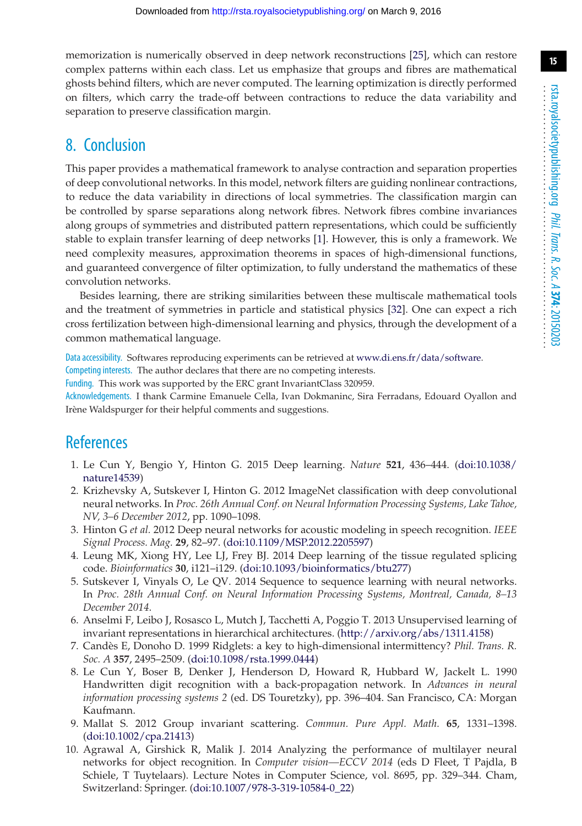memorization is numerically observed in deep network reconstructions [\[25\]](#page-15-14), which can restore complex patterns within each class. Let us emphasize that groups and fibres are mathematical ghosts behind filters, which are never computed. The learning optimization is directly performed on filters, which carry the trade-off between contractions to reduce the data variability and separation to preserve classification margin.

## 8. Conclusion

This paper provides a mathematical framework to analyse contraction and separation properties of deep convolutional networks. In this model, network filters are guiding nonlinear contractions, to reduce the data variability in directions of local symmetries. The classification margin can be controlled by sparse separations along network fibres. Network fibres combine invariances along groups of symmetries and distributed pattern representations, which could be sufficiently stable to explain transfer learning of deep networks [\[1\]](#page-14-0). However, this is only a framework. We need complexity measures, approximation theorems in spaces of high-dimensional functions, and guaranteed convergence of filter optimization, to fully understand the mathematics of these convolution networks.

Besides learning, there are striking similarities between these multiscale mathematical tools and the treatment of symmetries in particle and statistical physics [\[32\]](#page-15-21). One can expect a rich cross fertilization between high-dimensional learning and physics, through the development of a common mathematical language.

Data accessibility. Softwares reproducing experiments can be retrieved at [www.di.ens.fr/data/software.](http://www.di.ens.fr/data/software)

Competing interests. The author declares that there are no competing interests.

Funding. This work was supported by the ERC grant InvariantClass 320959.

Acknowledgements. I thank Carmine Emanuele Cella, Ivan Dokmaninc, Sira Ferradans, Edouard Oyallon and Irène Waldspurger for their helpful comments and suggestions.

# **References**

- <span id="page-14-0"></span>1. Le Cun Y, Bengio Y, Hinton G. 2015 Deep learning. *Nature* **521**, 436–444. [\(doi:10.1038/](http://dx.doi.org/doi:10.1038/nature14539) [nature14539\)](http://dx.doi.org/doi:10.1038/nature14539)
- <span id="page-14-1"></span>2. Krizhevsky A, Sutskever I, Hinton G. 2012 ImageNet classification with deep convolutional neural networks. In *Proc. 26th Annual Conf. on Neural Information Processing Systems, Lake Tahoe, NV, 3–6 December 2012*, pp. 1090–1098.
- <span id="page-14-2"></span>3. Hinton G *et al.* 2012 Deep neural networks for acoustic modeling in speech recognition. *IEEE Signal Process. Mag.* **29**, 82–97. [\(doi:10.1109/MSP.2012.2205597\)](http://dx.doi.org/doi:10.1109/MSP.2012.2205597)
- <span id="page-14-3"></span>4. Leung MK, Xiong HY, Lee LJ, Frey BJ. 2014 Deep learning of the tissue regulated splicing code. *Bioinformatics* **30**, i121–i129. [\(doi:10.1093/bioinformatics/btu277\)](http://dx.doi.org/doi:10.1093/bioinformatics/btu277)
- <span id="page-14-4"></span>5. Sutskever I, Vinyals O, Le QV. 2014 Sequence to sequence learning with neural networks. In *Proc. 28th Annual Conf. on Neural Information Processing Systems, Montreal, Canada, 8–13 December 2014*.
- <span id="page-14-5"></span>6. Anselmi F, Leibo J, Rosasco L, Mutch J, Tacchetti A, Poggio T. 2013 Unsupervised learning of invariant representations in hierarchical architectures. [\(http://arxiv.org/abs/1311.4158\)](http://arxiv.org/abs/1311.4158)
- <span id="page-14-6"></span>7. Candès E, Donoho D. 1999 Ridglets: a key to high-dimensional intermittency? *Phil. Trans. R. Soc. A* **357**, 2495–2509. [\(doi:10.1098/rsta.1999.0444\)](http://dx.doi.org/doi:10.1098/rsta.1999.0444)
- <span id="page-14-7"></span>8. Le Cun Y, Boser B, Denker J, Henderson D, Howard R, Hubbard W, Jackelt L. 1990 Handwritten digit recognition with a back-propagation network. In *Advances in neural information processing systems 2* (ed. DS Touretzky), pp. 396–404. San Francisco, CA: Morgan Kaufmann.
- <span id="page-14-8"></span>9. Mallat S. 2012 Group invariant scattering. *Commun. Pure Appl. Math.* **65**, 1331–1398. [\(doi:10.1002/cpa.21413\)](http://dx.doi.org/doi:10.1002/cpa.21413)
- <span id="page-14-9"></span>10. Agrawal A, Girshick R, Malik J. 2014 Analyzing the performance of multilayer neural networks for object recognition. In *Computer vision—ECCV 2014* (eds D Fleet, T Pajdla, B Schiele, T Tuytelaars). Lecture Notes in Computer Science, vol. 8695, pp. 329–344. Cham, Switzerland: Springer. [\(doi:10.1007/978-3-319-10584-0\\_22\)](http://dx.doi.org/doi:10.1007/978-3-319-10584-0_22)